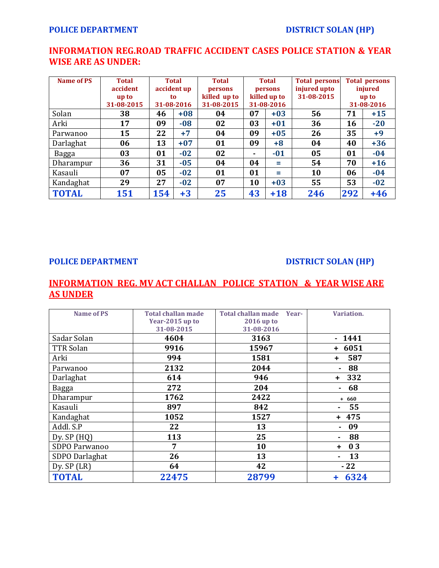# **INFORMATION REG.ROAD TRAFFIC ACCIDENT CASES POLICE STATION & YEAR WISE ARE AS UNDER:**

| <b>Name of PS</b> | <b>Total</b><br>accident<br>up to<br>31-08-2015 | <b>Total</b><br>accident up<br>to.<br>31-08-2016 |       | <b>Total</b><br>persons<br>killed up to<br>31-08-2015 | <b>Total</b><br>persons<br>killed up to<br>31-08-2016 |       | <b>Total persons</b><br>injured upto<br>31-08-2015 | <b>Total persons</b><br>injured<br>up to<br>31-08-2016 |       |
|-------------------|-------------------------------------------------|--------------------------------------------------|-------|-------------------------------------------------------|-------------------------------------------------------|-------|----------------------------------------------------|--------------------------------------------------------|-------|
| Solan             | 38                                              | 46                                               | $+08$ | 04                                                    | 07                                                    | $+03$ | 56                                                 | 71                                                     | $+15$ |
| Arki              | 17                                              | 09                                               | $-08$ | 02                                                    | 03                                                    | $+01$ | 36                                                 | 16                                                     | $-20$ |
| Parwanoo          | 15                                              | 22                                               | $+7$  | 04                                                    | 09                                                    | $+05$ | 26                                                 | 35                                                     | $+9$  |
| Darlaghat         | 06                                              | 13                                               | $+07$ | 01                                                    | 09                                                    | $+8$  | 04                                                 | 40                                                     | $+36$ |
| Bagga             | 03                                              | 01                                               | $-02$ | 02                                                    | ٠                                                     | $-01$ | 05                                                 | 01                                                     | $-04$ |
| Dharampur         | 36                                              | 31                                               | $-05$ | 04                                                    | 04                                                    | $=$   | 54                                                 | 70                                                     | $+16$ |
| Kasauli           | 07                                              | 05                                               | $-02$ | 01                                                    | 01                                                    | $=$   | 10                                                 | 06                                                     | $-04$ |
| Kandaghat         | 29                                              | 27                                               | $-02$ | 07                                                    | 10                                                    | $+03$ | 55                                                 | 53                                                     | $-02$ |
| <b>TOTAL</b>      | 151                                             | 154                                              | $+3$  | 25                                                    | 43                                                    | $+18$ | 246                                                | 292                                                    | $+46$ |

### **POLICE DEPARTMENT DISTRICT SOLAN (HP)**

## **INFORMATION REG. MV ACT CHALLAN POLICE STATION & YEAR WISE ARE AS UNDER**

| <b>Name of PS</b> | <b>Total challan made</b> | <b>Total challan made</b><br>Year- | Variation.           |
|-------------------|---------------------------|------------------------------------|----------------------|
|                   | Year-2015 up to           | 2016 up to                         |                      |
|                   | 31-08-2015                | 31-08-2016                         |                      |
| Sadar Solan       | 4604                      | 3163                               | 1441<br>$\sim$       |
| TTR Solan         | 9916                      | 15967                              | $+ 6051$             |
| Arki              | 994                       | 1581                               | 587<br>÷.            |
| Parwanoo          | 2132                      | 2044                               | 88                   |
| Darlaghat         | 614                       | 946                                | 332<br>÷.            |
| Bagga             | 272                       | 204                                | 68<br>۰              |
| Dharampur         | 1762                      | 2422                               | $+ 660$              |
| Kasauli           | 897                       | 842                                | 55                   |
| Kandaghat         | 1052                      | 1527                               | $+ 475$              |
| Addl. S.P         | 22                        | 13                                 | 09                   |
| Dy. $SP(HQ)$      | 113                       | 25                                 | 88<br>$\blacksquare$ |
| SDPO Parwanoo     | 7                         | 10                                 | 03<br>÷.             |
| SDPO Darlaghat    | 26                        | 13                                 | 13<br>Ξ.             |
| Dy. $SP$ (LR)     | 64                        | 42                                 | $-22$                |
| <b>TOTAL</b>      | 22475                     | 28799                              | 6324                 |